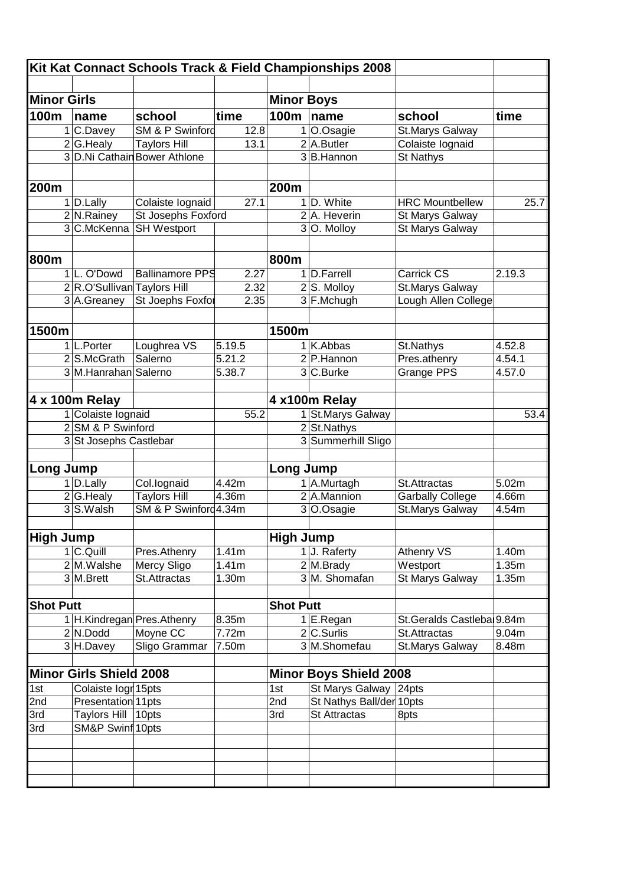| <b>Minor Girls</b> |                                |                              |        | <b>Minor Boys</b> |                               |                            |        |
|--------------------|--------------------------------|------------------------------|--------|-------------------|-------------------------------|----------------------------|--------|
| 100m               | name                           | school                       | time   | 100m              | name                          | school                     | time   |
|                    | 1 C.Davey                      | SM & P Swinford              | 12.8   |                   | O.Osagie                      | St.Marys Galway            |        |
|                    | 2 G.Healy                      | <b>Taylors Hill</b>          | 13.1   |                   | $2$ A.Butler                  | Colaiste lognaid           |        |
|                    |                                | 3 D.Ni Cathain Bower Athlone |        |                   | 3B.Hannon                     | <b>St Nathys</b>           |        |
|                    |                                |                              |        |                   |                               |                            |        |
| 200m               |                                |                              |        | 200m              |                               |                            |        |
|                    | $1$ D. Lally                   | Colaiste lognaid             | 27.1   |                   | 1 D. White                    | <b>HRC Mountbellew</b>     | 25.7   |
|                    | 2 N.Rainey                     | St Josephs Foxford           |        |                   | 2A. Heverin                   | St Marys Galway            |        |
|                    | 3 C.McKenna                    | <b>SH Westport</b>           |        |                   | 3 O. Molloy                   | <b>St Marys Galway</b>     |        |
| 800m               |                                |                              |        | 800m              |                               |                            |        |
|                    | 1 L. O'Dowd                    | <b>Ballinamore PPS</b>       | 2.27   |                   | 1 D.Farrell                   | Carrick CS                 | 2.19.3 |
|                    | 2 R.O'Sullivan Taylors Hill    |                              | 2.32   |                   | 2S. Molloy                    | <b>St.Marys Galway</b>     |        |
|                    | 3 A.Greaney                    | <b>St Joephs Foxfor</b>      | 2.35   |                   | 3 F.Mchugh                    | Lough Allen College        |        |
|                    |                                |                              |        |                   |                               |                            |        |
| 1500m              |                                |                              |        | 1500m             |                               |                            |        |
|                    | 1 L.Porter                     | Loughrea VS                  | 5.19.5 |                   | 1 K.Abbas                     | St.Nathys                  | 4.52.8 |
|                    | $2$ S.McGrath                  | Salerno                      | 5.21.2 |                   | 2 P.Hannon                    | Pres.athenry               | 4.54.1 |
|                    | 3 M.Hanrahan Salerno           |                              | 5.38.7 |                   | 3 C.Burke                     | <b>Grange PPS</b>          | 4.57.0 |
|                    |                                |                              |        |                   |                               |                            |        |
|                    | 4 x 100m Relay                 |                              |        |                   | 4 x100m Relay                 |                            |        |
|                    | 1 Colaiste lognaid             |                              | 55.2   |                   | 1 St. Marys Galway            |                            | 53.4   |
|                    | 2 SM & P Swinford              |                              |        |                   | 2 St. Nathys                  |                            |        |
|                    | 3 St Josephs Castlebar         |                              |        |                   | 3 Summerhill Sligo            |                            |        |
| <b>Long Jump</b>   |                                |                              |        | <b>Long Jump</b>  |                               |                            |        |
|                    | 1D.Lally                       | Col.lognaid                  | 4.42m  |                   | 1A.Murtagh                    | St.Attractas               | 5.02m  |
|                    | 2 G.Healy                      | <b>Taylors Hill</b>          | 4.36m  |                   | 2 A.Mannion                   | <b>Garbally College</b>    | 4.66m  |
|                    | 3 <sup>S.Walsh</sup>           | SM & P Swinford4.34m         |        |                   | 3 O.Osagie                    | St.Marys Galway            | 4.54m  |
|                    |                                |                              |        |                   |                               |                            |        |
| <b>High Jump</b>   |                                |                              |        | <b>High Jump</b>  |                               |                            |        |
|                    | 1 C.Quill                      | Pres.Athenry                 | 1.41m  |                   | 1 J. Raferty                  | Athenry VS                 | 1.40m  |
|                    | 2 M.Walshe                     | <b>Mercy Sligo</b>           | 1.41m  |                   | 2 M.Brady                     | Westport                   | 1.35m  |
|                    | 3 M.Brett                      | St.Attractas                 | 1.30m  |                   | 3 M. Shomafan                 | <b>St Marys Galway</b>     | 1.35m  |
| <b>Shot Putt</b>   |                                |                              |        | <b>Shot Putt</b>  |                               |                            |        |
|                    |                                | 1 H.Kindregan Pres. Athenry  | 8.35m  |                   | 1 E.Regan                     | St. Geralds Castleba 9.84m |        |
|                    | $2$ N.Dodd                     | Moyne CC                     | 7.72m  |                   | 2 C.Surlis                    | St.Attractas               | 9.04m  |
|                    | 3 H.Davey                      | Sligo Grammar                | 7.50m  |                   | 3 M.Shomefau                  | St.Marys Galway            | 8.48m  |
|                    | <b>Minor Girls Shield 2008</b> |                              |        |                   | <b>Minor Boys Shield 2008</b> |                            |        |
| 1st                | Colaiste logr 15pts            |                              |        | 1st               | St Marys Galway 24pts         |                            |        |
| 2nd                | Presentation 11pts             |                              |        | 2nd               | St Nathys Ball/der 10pts      |                            |        |
| 3rd                | Taylors Hill 10pts             |                              |        | 3rd               | <b>St Attractas</b>           | 8pts                       |        |
| 3rd                | SM&P Swinf 10pts               |                              |        |                   |                               |                            |        |
|                    |                                |                              |        |                   |                               |                            |        |
|                    |                                |                              |        |                   |                               |                            |        |
|                    |                                |                              |        |                   |                               |                            |        |
|                    |                                |                              |        |                   |                               |                            |        |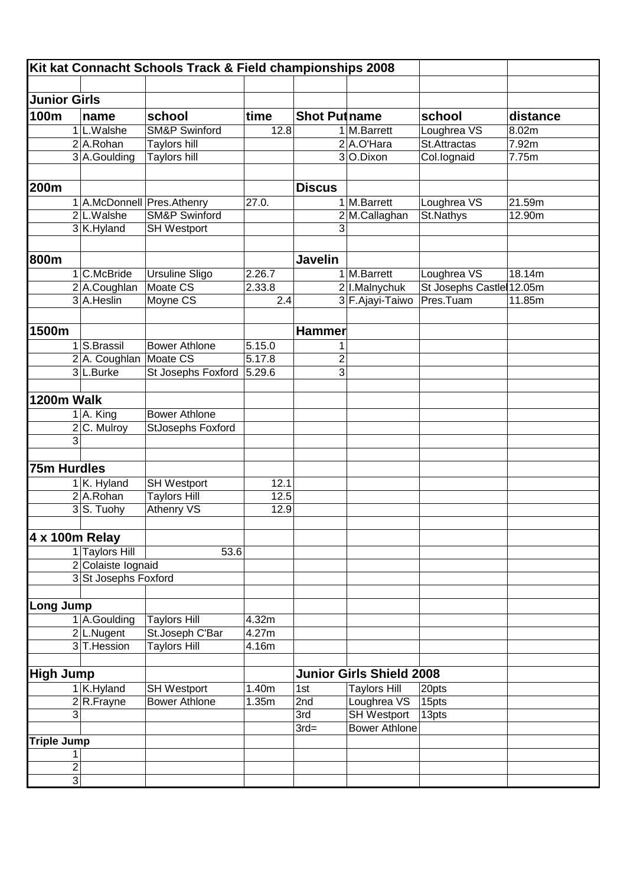|                     |                                            | Kit kat Connacht Schools Track & Field championships 2008 |                     |                     |                                 |                          |          |
|---------------------|--------------------------------------------|-----------------------------------------------------------|---------------------|---------------------|---------------------------------|--------------------------|----------|
|                     |                                            |                                                           |                     |                     |                                 |                          |          |
| <b>Junior Girls</b> |                                            |                                                           |                     |                     |                                 |                          |          |
| 100m                | name                                       | school                                                    | time                | <b>Shot Putname</b> |                                 | school                   | distance |
|                     | 1L.Walshe                                  | <b>SM&amp;P Swinford</b>                                  | 12.8                |                     | 1 M.Barrett                     | Loughrea VS              | 8.02m    |
|                     | 2 A.Rohan                                  | <b>Taylors hill</b>                                       |                     |                     | 2A.O'Hara                       | St. Attractas            | 7.92m    |
|                     | 3 A.Goulding                               | <b>Taylors hill</b>                                       |                     |                     | 3 O.Dixon                       | Col.lognaid              | 7.75m    |
|                     |                                            |                                                           |                     |                     |                                 |                          |          |
| 200m                |                                            |                                                           |                     | <b>Discus</b>       |                                 |                          |          |
|                     | 1 A.McDonnell Pres.Athenry                 |                                                           | 27.0.               |                     | 1 M.Barrett                     | Loughrea VS              | 21.59m   |
|                     | 2 L.Walshe                                 | <b>SM&amp;P Swinford</b>                                  |                     |                     | 2 M.Callaghan                   | St.Nathys                | 12.90m   |
|                     | 3K.Hyland                                  | <b>SH Westport</b>                                        |                     | 3                   |                                 |                          |          |
|                     |                                            |                                                           |                     |                     |                                 |                          |          |
| 800m                |                                            |                                                           |                     | <b>Javelin</b>      |                                 |                          |          |
|                     | 1 C.McBride                                | <b>Ursuline Sligo</b>                                     | 2.26.7              |                     | 1 M.Barrett                     | Loughrea VS              | 18.14m   |
|                     | 2 A.Coughlan                               | Moate CS                                                  | 2.33.8              |                     | 2 I.Malnychuk                   | St Josephs Castle 12.05m |          |
|                     | 3 A.Heslin                                 | Moyne CS                                                  | 2.4                 |                     | 3 F. Ajayi-Taiwo                | Pres.Tuam                | 11.85m   |
|                     |                                            |                                                           |                     |                     |                                 |                          |          |
| 1500m               |                                            |                                                           |                     | Hammer              |                                 |                          |          |
|                     |                                            |                                                           |                     |                     |                                 |                          |          |
|                     | 1 S.Brassil<br>2 A. Coughlan               | <b>Bower Athlone</b><br>Moate CS                          | 5.15.0<br>5.17.8    | 1                   |                                 |                          |          |
|                     | 3L.Burke                                   | St Josephs Foxford                                        | 5.29.6              | 2<br>$\overline{3}$ |                                 |                          |          |
|                     |                                            |                                                           |                     |                     |                                 |                          |          |
| 1200m Walk          |                                            |                                                           |                     |                     |                                 |                          |          |
|                     |                                            | <b>Bower Athlone</b>                                      |                     |                     |                                 |                          |          |
|                     | $1$ A. King<br>2 C. Mulroy                 | <b>StJosephs Foxford</b>                                  |                     |                     |                                 |                          |          |
| $\overline{3}$      |                                            |                                                           |                     |                     |                                 |                          |          |
|                     |                                            |                                                           |                     |                     |                                 |                          |          |
| <b>75m Hurdles</b>  |                                            |                                                           |                     |                     |                                 |                          |          |
|                     |                                            |                                                           |                     |                     |                                 |                          |          |
|                     | 1 K. Hyland<br>2 A.Rohan                   | <b>SH Westport</b><br><b>Taylors Hill</b>                 | 12.1<br>12.5        |                     |                                 |                          |          |
|                     | 3S. Tuohy                                  | <b>Athenry VS</b>                                         | 12.9                |                     |                                 |                          |          |
|                     |                                            |                                                           |                     |                     |                                 |                          |          |
| 4 x 100m Relay      |                                            |                                                           |                     |                     |                                 |                          |          |
|                     | 1 Taylors Hill                             |                                                           |                     |                     |                                 |                          |          |
|                     |                                            | 53.6                                                      |                     |                     |                                 |                          |          |
|                     | 2 Colaiste lognaid<br>3 St Josephs Foxford |                                                           |                     |                     |                                 |                          |          |
|                     |                                            |                                                           |                     |                     |                                 |                          |          |
| <b>Long Jump</b>    |                                            |                                                           |                     |                     |                                 |                          |          |
|                     | 1 A.Goulding                               | <b>Taylors Hill</b>                                       | 4.32m               |                     |                                 |                          |          |
|                     | 2L.Nugent                                  | St.Joseph C'Bar                                           | $\overline{4.27}$ m |                     |                                 |                          |          |
|                     | 3 T. Hession                               | <b>Taylors Hill</b>                                       | 4.16m               |                     |                                 |                          |          |
|                     |                                            |                                                           |                     |                     |                                 |                          |          |
| <b>High Jump</b>    |                                            |                                                           |                     |                     | <b>Junior Girls Shield 2008</b> |                          |          |
|                     | 1 K.Hyland                                 | <b>SH Westport</b>                                        | 1.40m               | 1st                 | <b>Taylors Hill</b>             | 20pts                    |          |
|                     | $2 R$ . Frayne                             | <b>Bower Athlone</b>                                      | 1.35m               | 2nd                 | Loughrea VS                     | 15pts                    |          |
| 3                   |                                            |                                                           |                     | 3rd                 | <b>SH Westport</b>              | 13pts                    |          |
|                     |                                            |                                                           |                     | $3rd=$              | <b>Bower Athlone</b>            |                          |          |
| <b>Triple Jump</b>  |                                            |                                                           |                     |                     |                                 |                          |          |
| 1                   |                                            |                                                           |                     |                     |                                 |                          |          |
| $\overline{2}$      |                                            |                                                           |                     |                     |                                 |                          |          |
| $\overline{3}$      |                                            |                                                           |                     |                     |                                 |                          |          |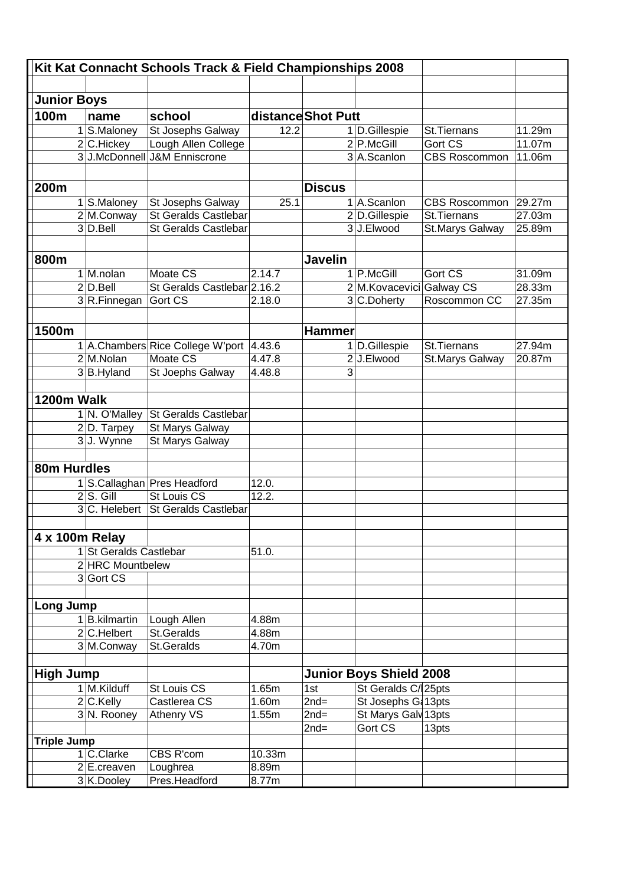|                    |                          | Kit Kat Connacht Schools Track & Field Championships 2008 |        |                    |                                |                      |        |
|--------------------|--------------------------|-----------------------------------------------------------|--------|--------------------|--------------------------------|----------------------|--------|
|                    |                          |                                                           |        |                    |                                |                      |        |
| <b>Junior Boys</b> |                          |                                                           |        |                    |                                |                      |        |
| 100m               | name                     | school                                                    |        | distance Shot Putt |                                |                      |        |
|                    | 1 S.Maloney              | St Josephs Galway                                         | 12.2   |                    | 1 D.Gillespie                  | St.Tiernans          | 11.29m |
|                    | 2 C.Hickey               | Lough Allen College                                       |        |                    | $2$ P.McGill                   | Gort CS              | 11.07m |
|                    | 3 J.McDonnell            | <b>J&amp;M Enniscrone</b>                                 |        |                    | 3 A.Scanlon                    | <b>CBS Roscommon</b> | 11.06m |
|                    |                          |                                                           |        |                    |                                |                      |        |
| 200m               |                          |                                                           |        | <b>Discus</b>      |                                |                      |        |
|                    | 1 S.Maloney              | St Josephs Galway                                         | 25.1   |                    | 1 A.Scanlon                    | <b>CBS Roscommon</b> | 29.27m |
|                    | 2 M.Conway               | <b>St Geralds Castlebar</b>                               |        |                    | 2D.Gillespie                   | St.Tiernans          | 27.03m |
|                    | $3$ D. Bell              | <b>St Geralds Castlebar</b>                               |        |                    | 3J.Elwood                      | St.Marys Galway      | 25.89m |
|                    |                          |                                                           |        |                    |                                |                      |        |
| 800m               |                          |                                                           |        | Javelin            |                                |                      |        |
|                    | 1 M.nolan                | Moate CS                                                  | 2.14.7 |                    | 1 P.McGill                     | Gort CS              | 31.09m |
|                    | $2$ D. Bell              | St Geralds Castlebar 2.16.2                               |        |                    | 2 M. Kovacevici Galway CS      |                      | 28.33m |
|                    | 3R.Finnegan              | Gort CS                                                   | 2.18.0 |                    | 3 C.Doherty                    | Roscommon CC         | 27.35m |
|                    |                          |                                                           |        |                    |                                |                      |        |
| 1500m              |                          |                                                           |        | <b>Hammer</b>      |                                |                      |        |
|                    |                          | 1 A.Chambers Rice College W'port                          | 4.43.6 |                    | 1 D.Gillespie                  | St.Tiernans          | 27.94m |
|                    | 2M.Nolan                 | Moate CS                                                  | 4.47.8 |                    | 2 J.Elwood                     | St.Marys Galway      | 20.87m |
|                    | 3B.Hyland                | St Joephs Galway                                          | 4.48.8 | 3                  |                                |                      |        |
|                    |                          |                                                           |        |                    |                                |                      |        |
| 1200m Walk         |                          |                                                           |        |                    |                                |                      |        |
|                    | 1 N. O'Malley            | St Geralds Castlebar                                      |        |                    |                                |                      |        |
|                    | $2 D.$ Tarpey            | St Marys Galway                                           |        |                    |                                |                      |        |
|                    | 3J. Wynne                | St Marys Galway                                           |        |                    |                                |                      |        |
|                    |                          |                                                           |        |                    |                                |                      |        |
| 80m Hurdles        |                          |                                                           |        |                    |                                |                      |        |
|                    |                          | 1 S.Callaghan Pres Headford                               | 12.0.  |                    |                                |                      |        |
|                    | $2 S.$ Gill              | <b>St Louis CS</b>                                        | 12.2.  |                    |                                |                      |        |
|                    | 3 C. Helebert            | <b>St Geralds Castlebar</b>                               |        |                    |                                |                      |        |
|                    |                          |                                                           |        |                    |                                |                      |        |
| 4 x 100m Relay     | 1 St Geralds Castlebar   |                                                           | 51.0.  |                    |                                |                      |        |
|                    | 2 HRC Mountbelew         |                                                           |        |                    |                                |                      |        |
|                    | 3 Gort CS                |                                                           |        |                    |                                |                      |        |
|                    |                          |                                                           |        |                    |                                |                      |        |
| <b>Long Jump</b>   |                          |                                                           |        |                    |                                |                      |        |
|                    | 1B.kilmartin             | Lough Allen                                               | 4.88m  |                    |                                |                      |        |
|                    | 2C.Helbert               | St.Geralds                                                | 4.88m  |                    |                                |                      |        |
|                    | 3M.Conway                | St.Geralds                                                | 4.70m  |                    |                                |                      |        |
|                    |                          |                                                           |        |                    |                                |                      |        |
| <b>High Jump</b>   |                          |                                                           |        |                    | <b>Junior Boys Shield 2008</b> |                      |        |
|                    | 1 M.Kilduff              | St Louis CS                                               | 1.65m  | $\overline{1st}$   | St Geralds C/25pts             |                      |        |
|                    | 2 C.Kelly                | Castlerea CS                                              | 1.60m  | $2nd=$             | St Josephs G: 13pts            |                      |        |
|                    | 3 N. Rooney              | <b>Athenry VS</b>                                         | 1.55m  | $\overline{2nd}$ = | St Marys Galv 13pts            |                      |        |
|                    |                          |                                                           |        | $\overline{2}$ nd= | Gort CS                        | 13pts                |        |
| <b>Triple Jump</b> |                          |                                                           |        |                    |                                |                      |        |
|                    | 1 C.Clarke               | CBS R'com                                                 | 10.33m |                    |                                |                      |        |
|                    | $\overline{2}$ E.creaven | Loughrea                                                  | 8.89m  |                    |                                |                      |        |
|                    | 3K.Dooley                | Pres.Headford                                             | 8.77m  |                    |                                |                      |        |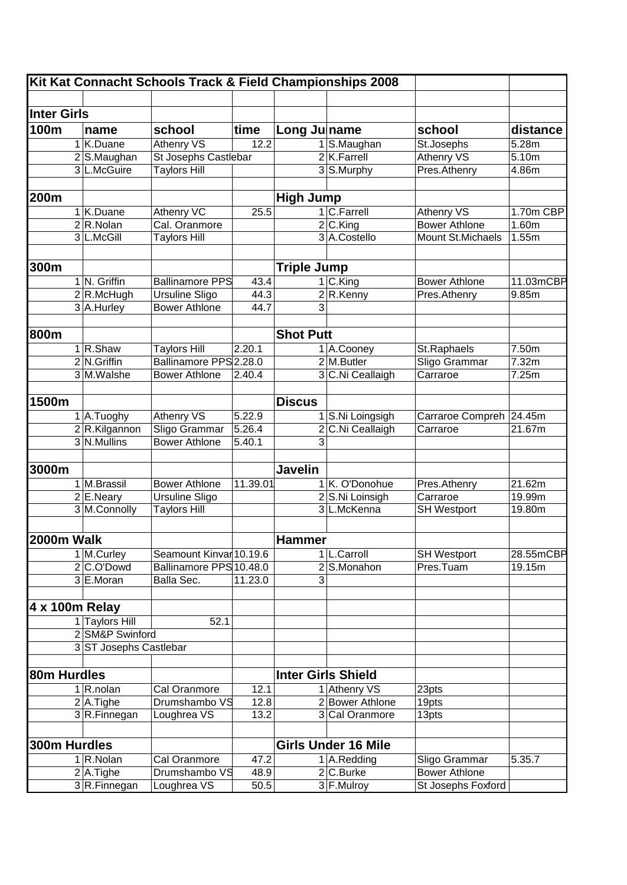|                    |                        | Kit Kat Connacht Schools Track & Field Championships 2008 |          |                    |                            |                         |           |
|--------------------|------------------------|-----------------------------------------------------------|----------|--------------------|----------------------------|-------------------------|-----------|
|                    |                        |                                                           |          |                    |                            |                         |           |
| <b>Inter Girls</b> |                        |                                                           |          |                    |                            |                         |           |
| <b>100m</b>        | name                   | school                                                    | time     | Long Julname       |                            | school                  | distance  |
|                    | 1 K.Duane              | <b>Athenry VS</b>                                         | 12.2     |                    | S.Maughan                  | St.Josephs              | 5.28m     |
|                    | 2 S.Maughan            | St Josephs Castlebar                                      |          |                    | $2$ K. Farrell             | <b>Athenry VS</b>       | 5.10m     |
|                    | 3 L.McGuire            | <b>Taylors Hill</b>                                       |          |                    | 3 S.Murphy                 | Pres.Athenry            | 4.86m     |
|                    |                        |                                                           |          |                    |                            |                         |           |
| 200m               |                        |                                                           |          | <b>High Jump</b>   |                            |                         |           |
|                    | 1 K.Duane              | <b>Athenry VC</b>                                         | 25.5     |                    | 1 C.Farrell                | <b>Athenry VS</b>       | 1.70m CBP |
|                    | $2 R$ . Nolan          | Cal. Oranmore                                             |          |                    | $2$ C.King                 | <b>Bower Athlone</b>    | 1.60m     |
|                    | 3 L.McGill             | <b>Taylors Hill</b>                                       |          |                    | 3 A.Costello               | Mount St. Michaels      | 1.55m     |
|                    |                        |                                                           |          |                    |                            |                         |           |
| 300m               |                        |                                                           |          | <b>Triple Jump</b> |                            |                         |           |
|                    | 1 N. Griffin           | <b>Ballinamore PPS</b>                                    | 43.4     |                    | 1 C.King                   | <b>Bower Athlone</b>    | 11.03mCBP |
|                    | 2 R.McHugh             | <b>Ursuline Sligo</b>                                     | 44.3     |                    | 2R.Kenny                   | Pres.Athenry            | 9.85m     |
|                    | 3 A.Hurley             | <b>Bower Athlone</b>                                      | 44.7     | 3                  |                            |                         |           |
|                    |                        |                                                           |          |                    |                            |                         |           |
| 800m               |                        |                                                           |          | <b>Shot Putt</b>   |                            |                         |           |
|                    | 1 R.Shaw               | <b>Taylors Hill</b>                                       | 2.20.1   |                    | 1 A.Cooney                 | St.Raphaels             | 7.50m     |
|                    | 2 N.Griffin            | Ballinamore PPS 2.28.0                                    |          |                    | 2 M.Butler                 | Sligo Grammar           | 7.32m     |
|                    | 3 M.Walshe             | <b>Bower Athlone</b>                                      | 2.40.4   |                    | 3 C.Ni Ceallaigh           | Carraroe                | 7.25m     |
|                    |                        |                                                           |          |                    |                            |                         |           |
| 1500m              |                        |                                                           |          | <b>Discus</b>      |                            |                         |           |
|                    | 1 A.Tuoghy             | <b>Athenry VS</b>                                         | 5.22.9   |                    | 1 S.Ni Loingsigh           | Carraroe Compreh 24.45m |           |
|                    | 2 R.Kilgannon          | Sligo Grammar                                             | 5.26.4   |                    | 2 C.Ni Ceallaigh           | Carraroe                | 21.67m    |
|                    | 3 N.Mullins            | <b>Bower Athlone</b>                                      | 5.40.1   | 3                  |                            |                         |           |
|                    |                        |                                                           |          |                    |                            |                         |           |
| 3000m              |                        |                                                           |          | <b>Javelin</b>     |                            |                         |           |
|                    | 1 M.Brassil            | <b>Bower Athlone</b>                                      | 11.39.01 |                    | 1 K. O'Donohue             | Pres.Athenry            | 21.62m    |
|                    | 2 E.Neary              | <b>Ursuline Sligo</b>                                     |          |                    | 2 S.Ni Loinsigh            | Carraroe                | 19.99m    |
|                    | 3 M.Connolly           | <b>Taylors Hill</b>                                       |          |                    | 3 L.McKenna                | <b>SH Westport</b>      | 19.80m    |
|                    |                        |                                                           |          |                    |                            |                         |           |
| 2000m Walk         |                        |                                                           |          | Hammer             |                            |                         |           |
|                    | 1 M.Curley             | Seamount Kinvar 10.19.6                                   |          |                    | 1 L.Carroll                | <b>SH Westport</b>      | 28.55mCBP |
|                    | 2C.O'Dowd              | Ballinamore PPS 10.48.0                                   |          | $\overline{2}$     | S.Monahon                  | Pres.Tuam               | 19.15m    |
|                    | 3 E.Moran              | Balla Sec.                                                | 11.23.0  | 3                  |                            |                         |           |
|                    |                        |                                                           |          |                    |                            |                         |           |
| 4 x 100m Relay     |                        |                                                           |          |                    |                            |                         |           |
|                    | 1 Taylors Hill         | 52.1                                                      |          |                    |                            |                         |           |
|                    | 2 SM&P Swinford        |                                                           |          |                    |                            |                         |           |
|                    | 3 ST Josephs Castlebar |                                                           |          |                    |                            |                         |           |
|                    |                        |                                                           |          |                    |                            |                         |           |
| 80m Hurdles        |                        |                                                           |          |                    | <b>Inter Girls Shield</b>  |                         |           |
|                    | 1 R.nolan              | Cal Oranmore                                              | 12.1     |                    | 1 Athenry VS               | 23pts                   |           |
|                    | $2$ A. Tighe           | Drumshambo VS                                             | 12.8     |                    | 2 Bower Athlone            | 19pts                   |           |
|                    | 3R.Finnegan            | Loughrea VS                                               | 13.2     |                    | 3 Cal Oranmore             | 13pts                   |           |
|                    |                        |                                                           |          |                    |                            |                         |           |
|                    |                        |                                                           |          |                    |                            |                         |           |
| 300m Hurdles       |                        |                                                           |          |                    | <b>Girls Under 16 Mile</b> |                         |           |
|                    | 1 R.Nolan              | Cal Oranmore                                              | 47.2     |                    | 1 A.Redding                | Sligo Grammar           | 5.35.7    |
|                    | $2$ A. Tighe           | Drumshambo VS                                             | 48.9     |                    | 2 C.Burke                  | <b>Bower Athlone</b>    |           |
|                    | 3R.Finnegan            | Loughrea VS                                               | 50.5     |                    | 3 F.Mulroy                 | St Josephs Foxford      |           |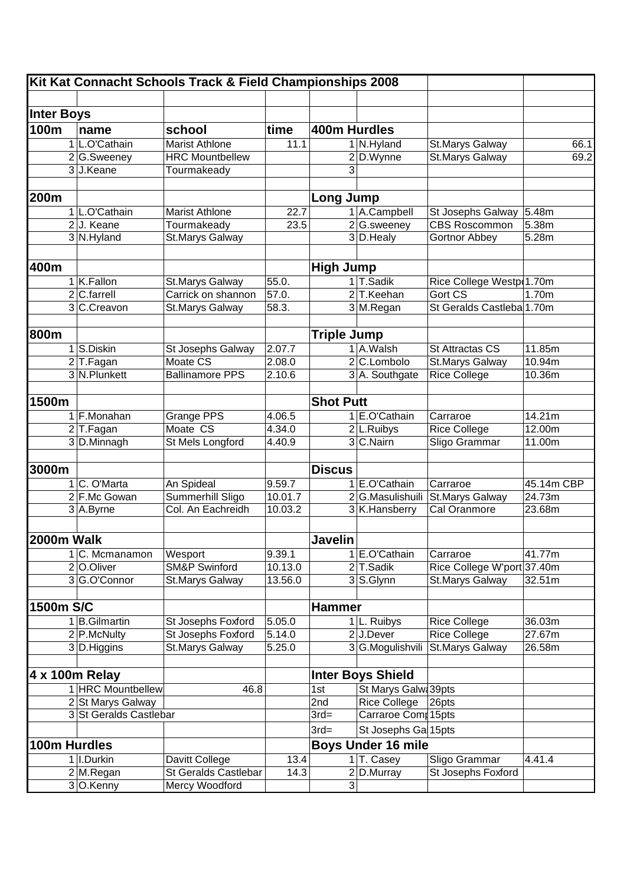|                   |                        | Kit Kat Connacht Schools Track & Field Championships 2008 |                     |                    |                |                           |                            |            |
|-------------------|------------------------|-----------------------------------------------------------|---------------------|--------------------|----------------|---------------------------|----------------------------|------------|
|                   |                        |                                                           |                     |                    |                |                           |                            |            |
| <b>Inter Boys</b> |                        |                                                           |                     |                    |                |                           |                            |            |
| 100m              | name                   | school                                                    | time                | 400m Hurdles       |                |                           |                            |            |
|                   | 1 L.O'Cathain          | <b>Marist Athlone</b>                                     | 11.1                |                    |                | 1 N.Hyland                | St.Marys Galway            | 66.1       |
|                   | 2 G.Sweeney            | <b>HRC</b> Mountbellew                                    |                     |                    |                | 2 D.Wynne                 | <b>St.Marys Galway</b>     | 69.2       |
|                   | 3J.Keane               | Tourmakeady                                               |                     |                    | 3              |                           |                            |            |
| 200m              |                        |                                                           |                     | <b>Long Jump</b>   |                |                           |                            |            |
|                   | 1 L.O'Cathain          | <b>Marist Athlone</b>                                     | $\overline{22.7}$   |                    |                | 1 A.Campbell              | St Josephs Galway          | 5.48m      |
|                   | 2J. Keane              | Tourmakeady                                               | 23.5                |                    |                | 2 G.sweeney               | <b>CBS Roscommon</b>       | 5.38m      |
|                   | 3 N.Hyland             | <b>St.Marys Galway</b>                                    |                     |                    |                | 3 D. Healy                | <b>Gortnor Abbey</b>       | 5.28m      |
|                   |                        |                                                           |                     |                    |                |                           |                            |            |
| 400m              |                        |                                                           |                     | <b>High Jump</b>   |                |                           |                            |            |
|                   | 1 K.Fallon             | St.Marys Galway                                           | 55.0.               |                    |                | 1 T.Sadik                 | Rice College Westp(1.70m   |            |
|                   | $2 C$ .farrell         | Carrick on shannon                                        | 57.0.               |                    |                | 2 T.Keehan                | Gort CS                    | 1.70m      |
|                   | 3 C.Creavon            | St.Marys Galway                                           | 58.3.               |                    |                | 3 M.Regan                 | St Geralds Castleba 1.70m  |            |
|                   |                        |                                                           |                     |                    |                |                           |                            |            |
| 800m              |                        |                                                           |                     | <b>Triple Jump</b> |                |                           |                            |            |
|                   | 1 S.Diskin             | St Josephs Galway                                         | 2.07.7              |                    |                | 1 A.Walsh                 | St Attractas CS            | 11.85m     |
|                   | $2$ T.Fagan            | Moate CS                                                  | 2.08.0              |                    |                | 2 C.Lombolo               | <b>St.Marys Galway</b>     | 10.94m     |
|                   | 3 N.Plunkett           | <b>Ballinamore PPS</b>                                    | 2.10.6              |                    |                | 3 A. Southgate            | <b>Rice College</b>        | 10.36m     |
|                   |                        |                                                           |                     |                    |                |                           |                            |            |
| 1500m             |                        |                                                           |                     | <b>Shot Putt</b>   |                |                           |                            |            |
|                   | 1 F.Monahan            | Grange PPS                                                | 4.06.5              |                    |                | 1 E.O'Cathain             | Carraroe                   | 14.21m     |
|                   | $2$ T. Fagan           | Moate CS                                                  | 4.34.0              |                    |                | 2 L.Ruibys                | <b>Rice College</b>        | 12.00m     |
|                   | 3 D.Minnagh            | <b>St Mels Longford</b>                                   | $\overline{4.40.9}$ |                    |                | 3 C.Nairn                 | Sligo Grammar              | 11.00m     |
|                   |                        |                                                           |                     |                    |                |                           |                            |            |
| 3000m             |                        |                                                           |                     | <b>Discus</b>      |                |                           |                            |            |
|                   | C. O'Marta             | An Spideal                                                | 9.59.7              |                    |                | 1 E.O'Cathain             | Carraroe                   | 45.14m CBP |
|                   | 2 F.Mc Gowan           | Summerhill Sligo                                          | 10.01.7             |                    |                | 2 G.Masulishuili          | St.Marys Galway            | 24.73m     |
|                   | 3 A.Byrne              | Col. An Eachreidh                                         | 10.03.2             |                    |                | 3 K.Hansberry             | Cal Oranmore               | 23.68m     |
|                   |                        |                                                           |                     |                    |                |                           |                            |            |
| 2000m Walk        |                        |                                                           |                     | <b>Javelin</b>     |                |                           |                            |            |
|                   | C. Mcmanamon           | Wesport                                                   | 9.39.1              |                    |                | 1 E.O'Cathain             | Carraroe                   | 41.77m     |
|                   | 2 O.Oliver             | <b>SM&amp;P Swinford</b>                                  | 10.13.0             |                    |                | 2 T.Sadik                 | Rice College W'port 37.40m |            |
|                   | 3G.O'Connor            | St.Marys Galway                                           | 13.56.0             |                    |                | 3 S.Glynn                 | St.Marys Galway            | 32.51m     |
|                   |                        |                                                           |                     |                    |                |                           |                            |            |
| 1500m S/C         |                        |                                                           |                     | <b>Hammer</b>      |                |                           |                            |            |
|                   | 1 B.Gilmartin          | St Josephs Foxford                                        | 5.05.0              |                    |                | 1 L. Ruibys               | <b>Rice College</b>        | 36.03m     |
|                   | 2 P.McNulty            | St Josephs Foxford                                        | 5.14.0              |                    |                | 2 J.Dever                 | <b>Rice College</b>        | 27.67m     |
|                   | 3 D. Higgins           | <b>St.Marys Galway</b>                                    | 5.25.0              |                    |                | 3 G.Mogulishvili          | <b>St.Marys Galway</b>     | 26.58m     |
|                   |                        |                                                           |                     |                    |                |                           |                            |            |
|                   | 4 x 100m Relay         |                                                           |                     |                    |                | <b>Inter Boys Shield</b>  |                            |            |
|                   | 1 HRC Mountbellew      | 46.8                                                      |                     | 1st                |                | St Marys Galwa39pts       |                            |            |
|                   | 2 St Marys Galway      |                                                           |                     | 2nd                |                | <b>Rice College</b>       | 26pts                      |            |
|                   | 3 St Geralds Castlebar |                                                           |                     | $3rd=$             |                | Carraroe Comp15pts        |                            |            |
|                   |                        |                                                           |                     | $3rd=$             |                | St Josephs Gal15pts       |                            |            |
| 100m Hurdles      |                        |                                                           |                     |                    |                | <b>Boys Under 16 mile</b> |                            |            |
|                   | 1 I.Durkin             | Davitt College                                            | 13.4                |                    |                | 1 T. Casey                | Sligo Grammar              | 4.41.4     |
|                   | $2$ M.Regan            | <b>St Geralds Castlebar</b>                               | 14.3                |                    |                | 2 D.Murray                | <b>St Josephs Foxford</b>  |            |
|                   | 3 O.Kenny              | Mercy Woodford                                            |                     |                    | $\overline{3}$ |                           |                            |            |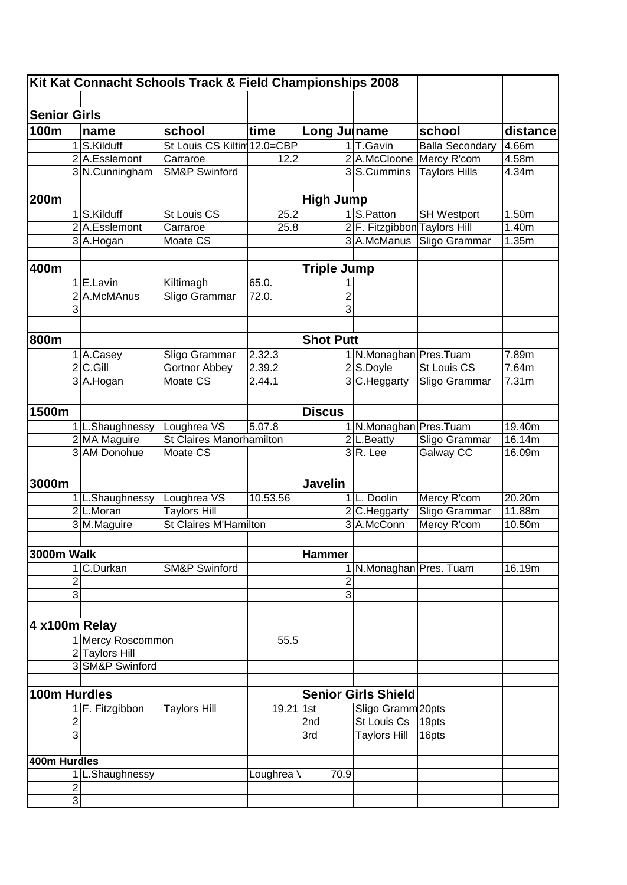| Kit Kat Connacht Schools Track & Field Championships 2008 |                |                   |                                 |                  |                    |                              |                        |                   |  |
|-----------------------------------------------------------|----------------|-------------------|---------------------------------|------------------|--------------------|------------------------------|------------------------|-------------------|--|
|                                                           |                |                   |                                 |                  |                    |                              |                        |                   |  |
| <b>Senior Girls</b>                                       |                |                   |                                 |                  |                    |                              |                        |                   |  |
| 100m                                                      |                | name              | school                          | time             | Long Julname       |                              | school                 | distance          |  |
|                                                           | 1              | S.Kilduff         | St Louis CS Kiltim 12.0=CBP     |                  |                    | 1 T.Gavin                    | <b>Balla Secondary</b> | 4.66m             |  |
|                                                           |                | 2 A.Esslemont     | Carraroe                        | 12.2             |                    | 2 A.McCloone                 | Mercy R'com            | 4.58m             |  |
|                                                           |                | 3 N.Cunningham    | <b>SM&amp;P Swinford</b>        |                  |                    | 3S.Cummins                   | <b>Taylors Hills</b>   | 4.34m             |  |
|                                                           |                |                   |                                 |                  |                    |                              |                        |                   |  |
| 200m                                                      |                |                   |                                 |                  | <b>High Jump</b>   |                              |                        |                   |  |
|                                                           | 1              | S.Kilduff         | St Louis CS                     | 25.2             |                    | 1 S.Patton                   | <b>SH Westport</b>     | 1.50m             |  |
|                                                           |                | 2 A.Esslemont     | Carraroe                        | 25.8             |                    | 2 F. Fitzgibbon Taylors Hill |                        | 1.40m             |  |
|                                                           |                | 3 A.Hogan         | Moate CS                        |                  |                    | 3 A.McManus                  | Sligo Grammar          | 1.35m             |  |
|                                                           |                |                   |                                 |                  |                    |                              |                        |                   |  |
| 400m                                                      |                |                   |                                 |                  | <b>Triple Jump</b> |                              |                        |                   |  |
|                                                           |                | E.Lavin           | Kiltimagh                       | 65.0.            |                    |                              |                        |                   |  |
|                                                           |                | 2 A.McMAnus       | Sligo Grammar                   | 72.0.            | $\overline{2}$     |                              |                        |                   |  |
|                                                           | 3              |                   |                                 |                  | 3                  |                              |                        |                   |  |
|                                                           |                |                   |                                 |                  |                    |                              |                        |                   |  |
| 800m                                                      |                |                   |                                 |                  | <b>Shot Putt</b>   |                              |                        |                   |  |
|                                                           |                |                   |                                 |                  |                    |                              |                        |                   |  |
|                                                           | 1.             | A.Casey           | Sligo Grammar                   | 2.32.3           |                    | 1 N.Monaghan Pres.Tuam       |                        | 7.89m             |  |
|                                                           | $\overline{2}$ | C.Gill            | Gortnor Abbey<br>Moate CS       | 2.39.2<br>2.44.1 |                    | $2$ S.Doyle                  | <b>St Louis CS</b>     | 7.64m             |  |
|                                                           |                | 3A.Hogan          |                                 |                  |                    | 3 C.Heggarty                 | Sligo Grammar          | 7.31 <sub>m</sub> |  |
|                                                           |                |                   |                                 |                  |                    |                              |                        |                   |  |
| 1500m                                                     |                |                   |                                 |                  | <b>Discus</b>      |                              |                        |                   |  |
|                                                           |                | 1 L.Shaughnessy   | Loughrea VS                     | 5.07.8           |                    | 1 N.Monaghan Pres.Tuam       |                        | 19.40m            |  |
|                                                           |                | 2 MA Maguire      | <b>St Claires Manorhamilton</b> |                  |                    | 2 L.Beatty                   | Sligo Grammar          | 16.14m            |  |
|                                                           |                | 3 AM Donohue      | Moate CS                        |                  |                    | $3R.$ Lee                    | Galway CC              | 16.09m            |  |
|                                                           |                |                   |                                 |                  |                    |                              |                        |                   |  |
| 3000m                                                     |                |                   |                                 |                  | <b>Javelin</b>     |                              |                        |                   |  |
|                                                           |                | L.Shaughnessy     | Loughrea VS                     | 10.53.56         |                    | 1 L. Doolin                  | Mercy R'com            | 20.20m            |  |
|                                                           |                | 2L.Moran          | <b>Taylors Hill</b>             |                  |                    | 2 C.Heggarty                 | Sligo Grammar          | 11.88m            |  |
|                                                           |                | 3 M.Maguire       | <b>St Claires M'Hamilton</b>    |                  |                    | 3 A.McConn                   | Mercy R'com            | 10.50m            |  |
|                                                           |                |                   |                                 |                  |                    |                              |                        |                   |  |
| <b>3000m Walk</b>                                         |                |                   |                                 |                  | <b>Hammer</b>      |                              |                        |                   |  |
|                                                           |                | 1 C.Durkan        |                                 |                  |                    |                              |                        |                   |  |
|                                                           | $\overline{c}$ |                   | <b>SM&amp;P Swinford</b>        |                  | 2                  | 1 N.Monaghan Pres. Tuam      |                        | 16.19m            |  |
|                                                           | $\overline{3}$ |                   |                                 |                  | $\overline{3}$     |                              |                        |                   |  |
|                                                           |                |                   |                                 |                  |                    |                              |                        |                   |  |
|                                                           |                |                   |                                 |                  |                    |                              |                        |                   |  |
| 4 x100m Relay                                             |                |                   |                                 |                  |                    |                              |                        |                   |  |
|                                                           |                | 1 Mercy Roscommon |                                 | 55.5             |                    |                              |                        |                   |  |
|                                                           |                | 2 Taylors Hill    |                                 |                  |                    |                              |                        |                   |  |
|                                                           |                | 3 SM&P Swinford   |                                 |                  |                    |                              |                        |                   |  |
|                                                           |                |                   |                                 |                  |                    |                              |                        |                   |  |
| 100m Hurdles                                              |                |                   |                                 |                  |                    | <b>Senior Girls Shield</b>   |                        |                   |  |
|                                                           |                | 1 F. Fitzgibbon   | <b>Taylors Hill</b>             | 19.21 1st        |                    | Sligo Gramm 20pts            |                        |                   |  |
|                                                           | $\overline{c}$ |                   |                                 |                  | 2nd                | St Louis Cs                  | 19pts                  |                   |  |
|                                                           | 3              |                   |                                 |                  | 3rd                | <b>Taylors Hill</b>          | 16pts                  |                   |  |
|                                                           |                |                   |                                 |                  |                    |                              |                        |                   |  |
| 400m Hurdles                                              |                |                   |                                 |                  |                    |                              |                        |                   |  |
|                                                           |                | 1 L.Shaughnessy   |                                 | Loughrea         | 70.9               |                              |                        |                   |  |
|                                                           | $\overline{2}$ |                   |                                 |                  |                    |                              |                        |                   |  |
|                                                           | $\overline{3}$ |                   |                                 |                  |                    |                              |                        |                   |  |